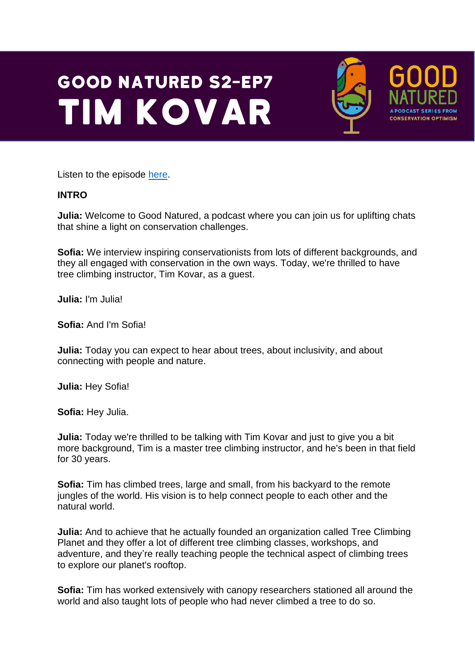## **GOOD NATURED S2-EP7 TIM KOVAR**



**A PODCAST SERIES FRO CONSERVATION OPTIMISM** 

Listen to the episode [here.](https://podfollow.com/1514337431)

## **INTRO**

**Julia:** Welcome to Good Natured, a podcast where you can join us for uplifting chats that shine a light on conservation challenges.

**Sofia:** We interview inspiring conservationists from lots of different backgrounds, and they all engaged with conservation in the own ways. Today, we're thrilled to have tree climbing instructor, Tim Kovar, as a guest.

**Julia:** I'm Julia!

**Sofia:** And I'm Sofia!

**Julia:** Today you can expect to hear about trees, about inclusivity, and about connecting with people and nature.

**Julia:** Hey Sofia!

**Sofia:** Hey Julia.

**Julia:** Today we're thrilled to be talking with Tim Kovar and just to give you a bit more background, Tim is a master tree climbing instructor, and he's been in that field for 30 years.

**Sofia:** Tim has climbed trees, large and small, from his backyard to the remote jungles of the world. His vision is to help connect people to each other and the natural world.

**Julia:** And to achieve that he actually founded an organization called Tree Climbing Planet and they offer a lot of different tree climbing classes, workshops, and adventure, and they're really teaching people the technical aspect of climbing trees to explore our planet's rooftop.

**Sofia:** Tim has worked extensively with canopy researchers stationed all around the world and also taught lots of people who had never climbed a tree to do so.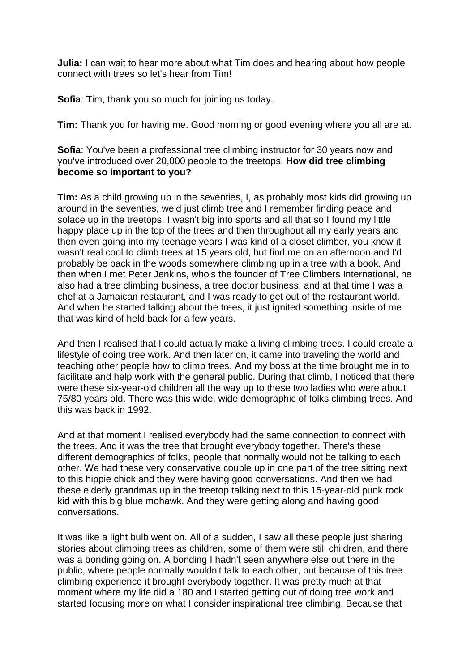**Julia:** I can wait to hear more about what Tim does and hearing about how people connect with trees so let's hear from Tim!

**Sofia**: Tim, thank you so much for joining us today.

**Tim:** Thank you for having me. Good morning or good evening where you all are at.

**Sofia**: You've been a professional tree climbing instructor for 30 years now and you've introduced over 20,000 people to the treetops. **How did tree climbing become so important to you?** 

**Tim:** As a child growing up in the seventies, I, as probably most kids did growing up around in the seventies, we'd just climb tree and I remember finding peace and solace up in the treetops. I wasn't big into sports and all that so I found my little happy place up in the top of the trees and then throughout all my early years and then even going into my teenage years I was kind of a closet climber, you know it wasn't real cool to climb trees at 15 years old, but find me on an afternoon and I'd probably be back in the woods somewhere climbing up in a tree with a book. And then when I met Peter Jenkins, who's the founder of Tree Climbers International, he also had a tree climbing business, a tree doctor business, and at that time I was a chef at a Jamaican restaurant, and I was ready to get out of the restaurant world. And when he started talking about the trees, it just ignited something inside of me that was kind of held back for a few years.

And then I realised that I could actually make a living climbing trees. I could create a lifestyle of doing tree work. And then later on, it came into traveling the world and teaching other people how to climb trees. And my boss at the time brought me in to facilitate and help work with the general public. During that climb, I noticed that there were these six-year-old children all the way up to these two ladies who were about 75/80 years old. There was this wide, wide demographic of folks climbing trees. And this was back in 1992.

And at that moment I realised everybody had the same connection to connect with the trees. And it was the tree that brought everybody together. There's these different demographics of folks, people that normally would not be talking to each other. We had these very conservative couple up in one part of the tree sitting next to this hippie chick and they were having good conversations. And then we had these elderly grandmas up in the treetop talking next to this 15-year-old punk rock kid with this big blue mohawk. And they were getting along and having good conversations.

It was like a light bulb went on. All of a sudden, I saw all these people just sharing stories about climbing trees as children, some of them were still children, and there was a bonding going on. A bonding I hadn't seen anywhere else out there in the public, where people normally wouldn't talk to each other, but because of this tree climbing experience it brought everybody together. It was pretty much at that moment where my life did a 180 and I started getting out of doing tree work and started focusing more on what I consider inspirational tree climbing. Because that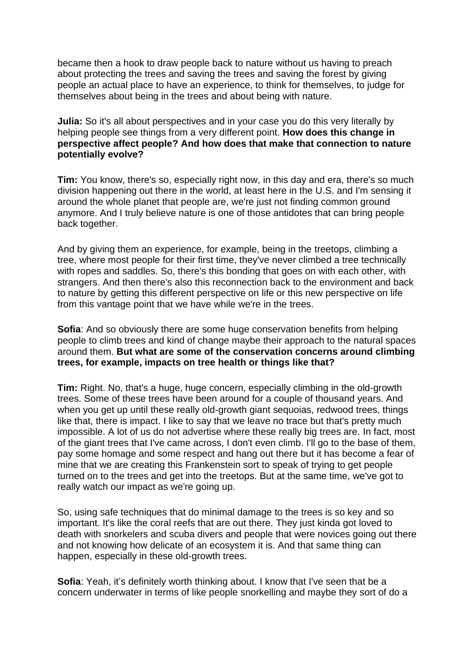became then a hook to draw people back to nature without us having to preach about protecting the trees and saving the trees and saving the forest by giving people an actual place to have an experience, to think for themselves, to judge for themselves about being in the trees and about being with nature.

**Julia:** So it's all about perspectives and in your case you do this very literally by helping people see things from a very different point. **How does this change in perspective affect people? And how does that make that connection to nature potentially evolve?**

**Tim:** You know, there's so, especially right now, in this day and era, there's so much division happening out there in the world, at least here in the U.S. and I'm sensing it around the whole planet that people are, we're just not finding common ground anymore. And I truly believe nature is one of those antidotes that can bring people back together.

And by giving them an experience, for example, being in the treetops, climbing a tree, where most people for their first time, they've never climbed a tree technically with ropes and saddles. So, there's this bonding that goes on with each other, with strangers. And then there's also this reconnection back to the environment and back to nature by getting this different perspective on life or this new perspective on life from this vantage point that we have while we're in the trees.

**Sofia**: And so obviously there are some huge conservation benefits from helping people to climb trees and kind of change maybe their approach to the natural spaces around them. **But what are some of the conservation concerns around climbing trees, for example, impacts on tree health or things like that?**

**Tim:** Right. No, that's a huge, huge concern, especially climbing in the old-growth trees. Some of these trees have been around for a couple of thousand years. And when you get up until these really old-growth giant sequoias, redwood trees, things like that, there is impact. I like to say that we leave no trace but that's pretty much impossible. A lot of us do not advertise where these really big trees are. In fact, most of the giant trees that I've came across, I don't even climb. I'll go to the base of them, pay some homage and some respect and hang out there but it has become a fear of mine that we are creating this Frankenstein sort to speak of trying to get people turned on to the trees and get into the treetops. But at the same time, we've got to really watch our impact as we're going up.

So, using safe techniques that do minimal damage to the trees is so key and so important. It's like the coral reefs that are out there. They just kinda got loved to death with snorkelers and scuba divers and people that were novices going out there and not knowing how delicate of an ecosystem it is. And that same thing can happen, especially in these old-growth trees.

**Sofia**: Yeah, it's definitely worth thinking about. I know that I've seen that be a concern underwater in terms of like people snorkelling and maybe they sort of do a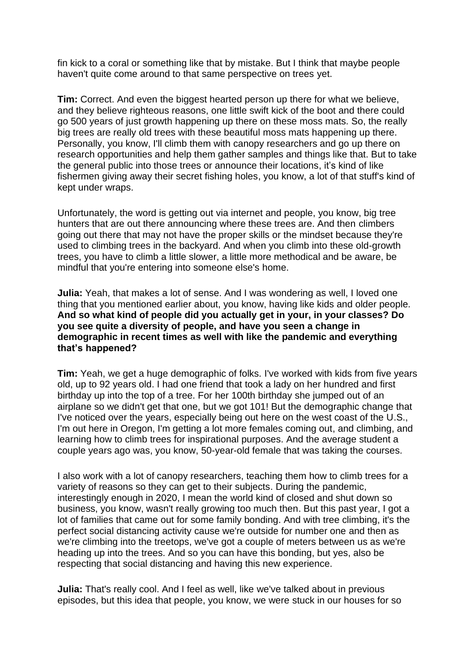fin kick to a coral or something like that by mistake. But I think that maybe people haven't quite come around to that same perspective on trees yet.

**Tim:** Correct. And even the biggest hearted person up there for what we believe, and they believe righteous reasons, one little swift kick of the boot and there could go 500 years of just growth happening up there on these moss mats. So, the really big trees are really old trees with these beautiful moss mats happening up there. Personally, you know, I'll climb them with canopy researchers and go up there on research opportunities and help them gather samples and things like that. But to take the general public into those trees or announce their locations, it's kind of like fishermen giving away their secret fishing holes, you know, a lot of that stuff's kind of kept under wraps.

Unfortunately, the word is getting out via internet and people, you know, big tree hunters that are out there announcing where these trees are. And then climbers going out there that may not have the proper skills or the mindset because they're used to climbing trees in the backyard. And when you climb into these old-growth trees, you have to climb a little slower, a little more methodical and be aware, be mindful that you're entering into someone else's home.

**Julia:** Yeah, that makes a lot of sense. And I was wondering as well, I loved one thing that you mentioned earlier about, you know, having like kids and older people. **And so what kind of people did you actually get in your, in your classes? Do you see quite a diversity of people, and have you seen a change in demographic in recent times as well with like the pandemic and everything that's happened?** 

**Tim:** Yeah, we get a huge demographic of folks. I've worked with kids from five years old, up to 92 years old. I had one friend that took a lady on her hundred and first birthday up into the top of a tree. For her 100th birthday she jumped out of an airplane so we didn't get that one, but we got 101! But the demographic change that I've noticed over the years, especially being out here on the west coast of the U.S., I'm out here in Oregon, I'm getting a lot more females coming out, and climbing, and learning how to climb trees for inspirational purposes. And the average student a couple years ago was, you know, 50-year-old female that was taking the courses.

I also work with a lot of canopy researchers, teaching them how to climb trees for a variety of reasons so they can get to their subjects. During the pandemic, interestingly enough in 2020, I mean the world kind of closed and shut down so business, you know, wasn't really growing too much then. But this past year, I got a lot of families that came out for some family bonding. And with tree climbing, it's the perfect social distancing activity cause we're outside for number one and then as we're climbing into the treetops, we've got a couple of meters between us as we're heading up into the trees. And so you can have this bonding, but yes, also be respecting that social distancing and having this new experience.

**Julia:** That's really cool. And I feel as well, like we've talked about in previous episodes, but this idea that people, you know, we were stuck in our houses for so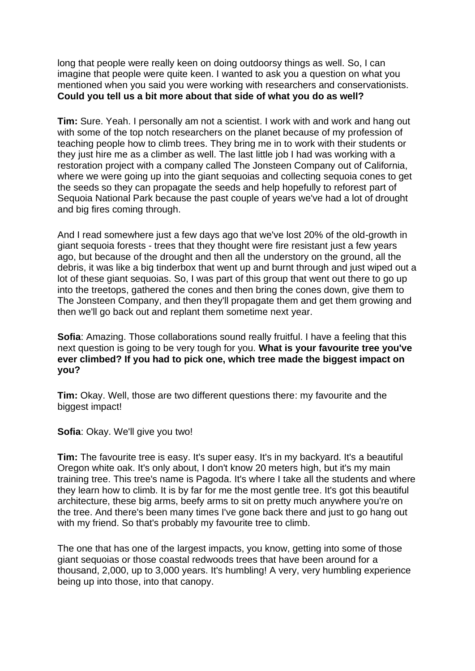long that people were really keen on doing outdoorsy things as well. So, I can imagine that people were quite keen. I wanted to ask you a question on what you mentioned when you said you were working with researchers and conservationists. **Could you tell us a bit more about that side of what you do as well?**

**Tim:** Sure. Yeah. I personally am not a scientist. I work with and work and hang out with some of the top notch researchers on the planet because of my profession of teaching people how to climb trees. They bring me in to work with their students or they just hire me as a climber as well. The last little job I had was working with a restoration project with a company called The Jonsteen Company out of California, where we were going up into the giant sequoias and collecting sequoia cones to get the seeds so they can propagate the seeds and help hopefully to reforest part of Sequoia National Park because the past couple of years we've had a lot of drought and big fires coming through.

And I read somewhere just a few days ago that we've lost 20% of the old-growth in giant sequoia forests - trees that they thought were fire resistant just a few years ago, but because of the drought and then all the understory on the ground, all the debris, it was like a big tinderbox that went up and burnt through and just wiped out a lot of these giant sequoias. So, I was part of this group that went out there to go up into the treetops, gathered the cones and then bring the cones down, give them to The Jonsteen Company, and then they'll propagate them and get them growing and then we'll go back out and replant them sometime next year.

**Sofia:** Amazing. Those collaborations sound really fruitful. I have a feeling that this next question is going to be very tough for you. **What is your favourite tree you've ever climbed? If you had to pick one, which tree made the biggest impact on you?**

**Tim:** Okay. Well, those are two different questions there: my favourite and the biggest impact!

**Sofia**: Okay. We'll give you two!

**Tim:** The favourite tree is easy. It's super easy. It's in my backyard. It's a beautiful Oregon white oak. It's only about, I don't know 20 meters high, but it's my main training tree. This tree's name is Pagoda. It's where I take all the students and where they learn how to climb. It is by far for me the most gentle tree. It's got this beautiful architecture, these big arms, beefy arms to sit on pretty much anywhere you're on the tree. And there's been many times I've gone back there and just to go hang out with my friend. So that's probably my favourite tree to climb.

The one that has one of the largest impacts, you know, getting into some of those giant sequoias or those coastal redwoods trees that have been around for a thousand, 2,000, up to 3,000 years. It's humbling! A very, very humbling experience being up into those, into that canopy.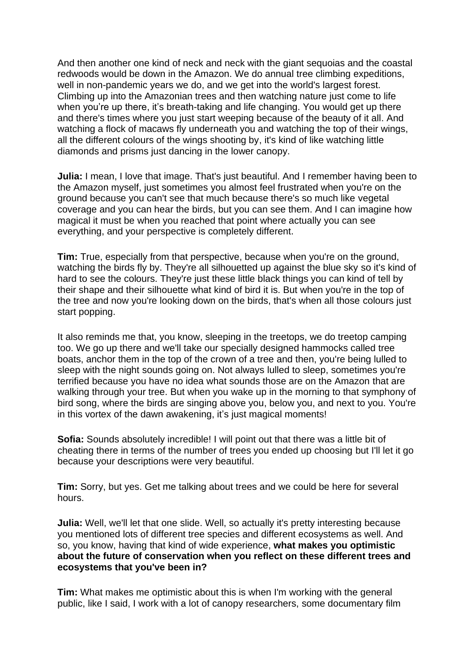And then another one kind of neck and neck with the giant sequoias and the coastal redwoods would be down in the Amazon. We do annual tree climbing expeditions, well in non-pandemic years we do, and we get into the world's largest forest. Climbing up into the Amazonian trees and then watching nature just come to life when you're up there, it's breath-taking and life changing. You would get up there and there's times where you just start weeping because of the beauty of it all. And watching a flock of macaws fly underneath you and watching the top of their wings, all the different colours of the wings shooting by, it's kind of like watching little diamonds and prisms just dancing in the lower canopy.

**Julia:** I mean, I love that image. That's just beautiful. And I remember having been to the Amazon myself, just sometimes you almost feel frustrated when you're on the ground because you can't see that much because there's so much like vegetal coverage and you can hear the birds, but you can see them. And I can imagine how magical it must be when you reached that point where actually you can see everything, and your perspective is completely different.

**Tim:** True, especially from that perspective, because when you're on the ground, watching the birds fly by. They're all silhouetted up against the blue sky so it's kind of hard to see the colours. They're just these little black things you can kind of tell by their shape and their silhouette what kind of bird it is. But when you're in the top of the tree and now you're looking down on the birds, that's when all those colours just start popping.

It also reminds me that, you know, sleeping in the treetops, we do treetop camping too. We go up there and we'll take our specially designed hammocks called tree boats, anchor them in the top of the crown of a tree and then, you're being lulled to sleep with the night sounds going on. Not always lulled to sleep, sometimes you're terrified because you have no idea what sounds those are on the Amazon that are walking through your tree. But when you wake up in the morning to that symphony of bird song, where the birds are singing above you, below you, and next to you. You're in this vortex of the dawn awakening, it's just magical moments!

**Sofia:** Sounds absolutely incredible! I will point out that there was a little bit of cheating there in terms of the number of trees you ended up choosing but I'll let it go because your descriptions were very beautiful.

**Tim:** Sorry, but yes. Get me talking about trees and we could be here for several hours.

**Julia:** Well, we'll let that one slide. Well, so actually it's pretty interesting because you mentioned lots of different tree species and different ecosystems as well. And so, you know, having that kind of wide experience, **what makes you optimistic about the future of conservation when you reflect on these different trees and ecosystems that you've been in?**

**Tim:** What makes me optimistic about this is when I'm working with the general public, like I said, I work with a lot of canopy researchers, some documentary film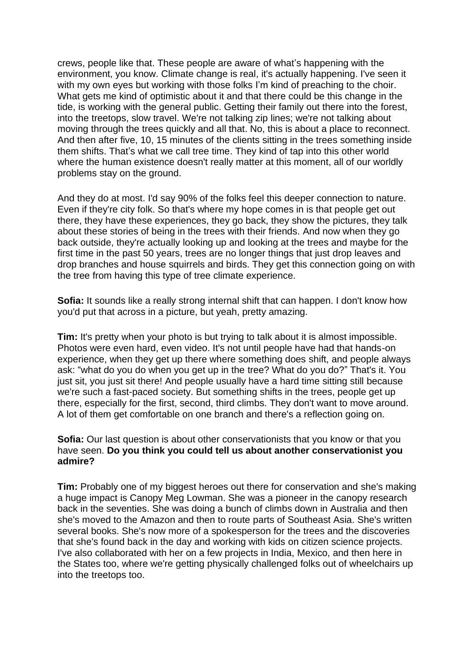crews, people like that. These people are aware of what's happening with the environment, you know. Climate change is real, it's actually happening. I've seen it with my own eyes but working with those folks I'm kind of preaching to the choir. What gets me kind of optimistic about it and that there could be this change in the tide, is working with the general public. Getting their family out there into the forest, into the treetops, slow travel. We're not talking zip lines; we're not talking about moving through the trees quickly and all that. No, this is about a place to reconnect. And then after five, 10, 15 minutes of the clients sitting in the trees something inside them shifts. That's what we call tree time. They kind of tap into this other world where the human existence doesn't really matter at this moment, all of our worldly problems stay on the ground.

And they do at most. I'd say 90% of the folks feel this deeper connection to nature. Even if they're city folk. So that's where my hope comes in is that people get out there, they have these experiences, they go back, they show the pictures, they talk about these stories of being in the trees with their friends. And now when they go back outside, they're actually looking up and looking at the trees and maybe for the first time in the past 50 years, trees are no longer things that just drop leaves and drop branches and house squirrels and birds. They get this connection going on with the tree from having this type of tree climate experience.

**Sofia:** It sounds like a really strong internal shift that can happen. I don't know how you'd put that across in a picture, but yeah, pretty amazing.

**Tim:** It's pretty when your photo is but trying to talk about it is almost impossible. Photos were even hard, even video. It's not until people have had that hands-on experience, when they get up there where something does shift, and people always ask: "what do you do when you get up in the tree? What do you do?" That's it. You just sit, you just sit there! And people usually have a hard time sitting still because we're such a fast-paced society. But something shifts in the trees, people get up there, especially for the first, second, third climbs. They don't want to move around. A lot of them get comfortable on one branch and there's a reflection going on.

## **Sofia:** Our last question is about other conservationists that you know or that you have seen. **Do you think you could tell us about another conservationist you admire?**

**Tim:** Probably one of my biggest heroes out there for conservation and she's making a huge impact is Canopy Meg Lowman. She was a pioneer in the canopy research back in the seventies. She was doing a bunch of climbs down in Australia and then she's moved to the Amazon and then to route parts of Southeast Asia. She's written several books. She's now more of a spokesperson for the trees and the discoveries that she's found back in the day and working with kids on citizen science projects. I've also collaborated with her on a few projects in India, Mexico, and then here in the States too, where we're getting physically challenged folks out of wheelchairs up into the treetops too.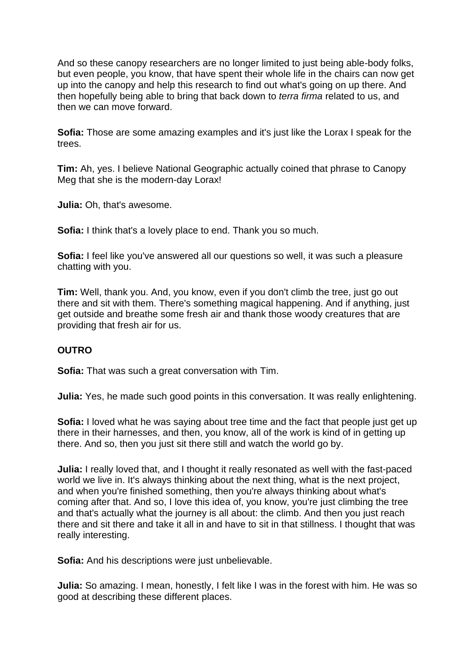And so these canopy researchers are no longer limited to just being able-body folks, but even people, you know, that have spent their whole life in the chairs can now get up into the canopy and help this research to find out what's going on up there. And then hopefully being able to bring that back down to *terra firma* related to us, and then we can move forward.

**Sofia:** Those are some amazing examples and it's just like the Lorax I speak for the trees.

**Tim:** Ah, yes. I believe National Geographic actually coined that phrase to Canopy Meg that she is the modern-day Lorax!

**Julia:** Oh, that's awesome.

**Sofia:** I think that's a lovely place to end. Thank you so much.

**Sofia:** I feel like you've answered all our questions so well, it was such a pleasure chatting with you.

**Tim:** Well, thank you. And, you know, even if you don't climb the tree, just go out there and sit with them. There's something magical happening. And if anything, just get outside and breathe some fresh air and thank those woody creatures that are providing that fresh air for us.

## **OUTRO**

**Sofia:** That was such a great conversation with Tim.

**Julia:** Yes, he made such good points in this conversation. It was really enlightening.

**Sofia:** I loved what he was saying about tree time and the fact that people just get up there in their harnesses, and then, you know, all of the work is kind of in getting up there. And so, then you just sit there still and watch the world go by.

**Julia:** I really loved that, and I thought it really resonated as well with the fast-paced world we live in. It's always thinking about the next thing, what is the next project, and when you're finished something, then you're always thinking about what's coming after that. And so, I love this idea of, you know, you're just climbing the tree and that's actually what the journey is all about: the climb. And then you just reach there and sit there and take it all in and have to sit in that stillness. I thought that was really interesting.

**Sofia:** And his descriptions were just unbelievable.

**Julia:** So amazing. I mean, honestly, I felt like I was in the forest with him. He was so good at describing these different places.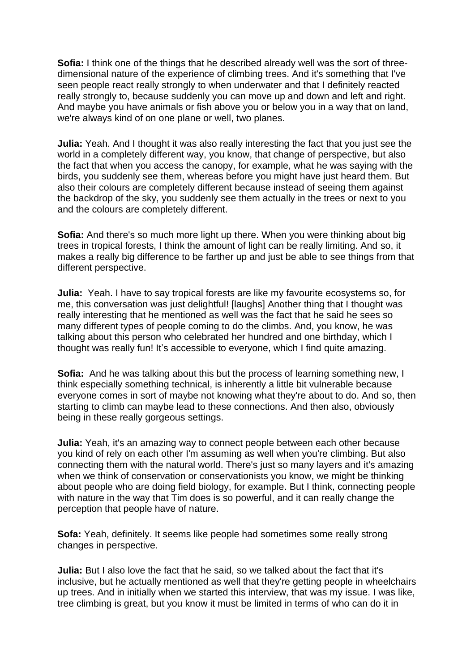**Sofia:** I think one of the things that he described already well was the sort of threedimensional nature of the experience of climbing trees. And it's something that I've seen people react really strongly to when underwater and that I definitely reacted really strongly to, because suddenly you can move up and down and left and right. And maybe you have animals or fish above you or below you in a way that on land, we're always kind of on one plane or well, two planes.

**Julia:** Yeah. And I thought it was also really interesting the fact that you just see the world in a completely different way, you know, that change of perspective, but also the fact that when you access the canopy, for example, what he was saying with the birds, you suddenly see them, whereas before you might have just heard them. But also their colours are completely different because instead of seeing them against the backdrop of the sky, you suddenly see them actually in the trees or next to you and the colours are completely different.

**Sofia:** And there's so much more light up there. When you were thinking about big trees in tropical forests, I think the amount of light can be really limiting. And so, it makes a really big difference to be farther up and just be able to see things from that different perspective.

**Julia:** Yeah. I have to say tropical forests are like my favourite ecosystems so, for me, this conversation was just delightful! [laughs] Another thing that I thought was really interesting that he mentioned as well was the fact that he said he sees so many different types of people coming to do the climbs. And, you know, he was talking about this person who celebrated her hundred and one birthday, which I thought was really fun! It's accessible to everyone, which I find quite amazing.

**Sofia:** And he was talking about this but the process of learning something new, I think especially something technical, is inherently a little bit vulnerable because everyone comes in sort of maybe not knowing what they're about to do. And so, then starting to climb can maybe lead to these connections. And then also, obviously being in these really gorgeous settings.

**Julia:** Yeah, it's an amazing way to connect people between each other because you kind of rely on each other I'm assuming as well when you're climbing. But also connecting them with the natural world. There's just so many layers and it's amazing when we think of conservation or conservationists you know, we might be thinking about people who are doing field biology, for example. But I think, connecting people with nature in the way that Tim does is so powerful, and it can really change the perception that people have of nature.

**Sofa:** Yeah, definitely. It seems like people had sometimes some really strong changes in perspective.

**Julia:** But I also love the fact that he said, so we talked about the fact that it's inclusive, but he actually mentioned as well that they're getting people in wheelchairs up trees. And in initially when we started this interview, that was my issue. I was like, tree climbing is great, but you know it must be limited in terms of who can do it in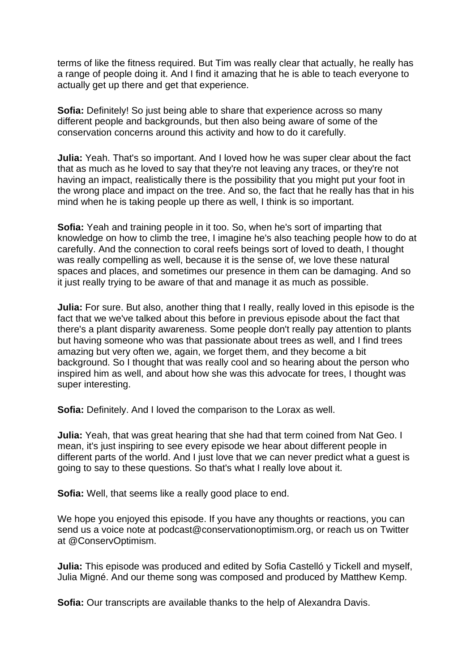terms of like the fitness required. But Tim was really clear that actually, he really has a range of people doing it. And I find it amazing that he is able to teach everyone to actually get up there and get that experience.

**Sofia:** Definitely! So just being able to share that experience across so many different people and backgrounds, but then also being aware of some of the conservation concerns around this activity and how to do it carefully.

**Julia:** Yeah. That's so important. And I loved how he was super clear about the fact that as much as he loved to say that they're not leaving any traces, or they're not having an impact, realistically there is the possibility that you might put your foot in the wrong place and impact on the tree. And so, the fact that he really has that in his mind when he is taking people up there as well, I think is so important.

**Sofia:** Yeah and training people in it too. So, when he's sort of imparting that knowledge on how to climb the tree, I imagine he's also teaching people how to do at carefully. And the connection to coral reefs beings sort of loved to death, I thought was really compelling as well, because it is the sense of, we love these natural spaces and places, and sometimes our presence in them can be damaging. And so it just really trying to be aware of that and manage it as much as possible.

**Julia:** For sure. But also, another thing that I really, really loved in this episode is the fact that we we've talked about this before in previous episode about the fact that there's a plant disparity awareness. Some people don't really pay attention to plants but having someone who was that passionate about trees as well, and I find trees amazing but very often we, again, we forget them, and they become a bit background. So I thought that was really cool and so hearing about the person who inspired him as well, and about how she was this advocate for trees, I thought was super interesting.

**Sofia:** Definitely. And I loved the comparison to the Lorax as well.

**Julia:** Yeah, that was great hearing that she had that term coined from Nat Geo. I mean, it's just inspiring to see every episode we hear about different people in different parts of the world. And I just love that we can never predict what a guest is going to say to these questions. So that's what I really love about it.

**Sofia:** Well, that seems like a really good place to end.

We hope you enjoyed this episode. If you have any thoughts or reactions, you can send us a voice note at podcast@conservationoptimism.org, or reach us on Twitter at @ConservOptimism.

**Julia:** This episode was produced and edited by Sofia Castelló y Tickell and myself, Julia Migné. And our theme song was composed and produced by Matthew Kemp.

**Sofia:** Our transcripts are available thanks to the help of Alexandra Davis.